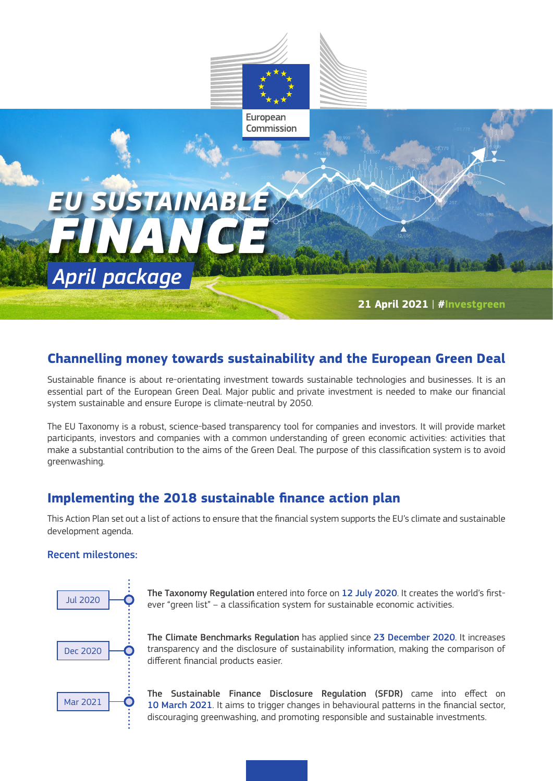

# **Channelling money towards sustainability and the European Green Deal**

Sustainable finance is about re-orientating investment towards sustainable technologies and businesses. It is an essential part of the European Green Deal. Major public and private investment is needed to make our financial system sustainable and ensure Europe is climate-neutral by 2050.

The EU Taxonomy is a robust, science-based transparency tool for companies and investors. It will provide market participants, investors and companies with a common understanding of green economic activities: activities that make a substantial contribution to the aims of the Green Deal. The purpose of this classification system is to avoid greenwashing.

# **Implementing the 2018 sustainable finance action plan**

This Action Plan set out a list of actions to ensure that the financial system supports the EU's climate and sustainable development agenda.

#### Recent milestones:



The Taxonomy Regulation entered into force on 12 July 2020. It creates the world's firstever "green list" – a classification system for sustainable economic activities.

The Climate Benchmarks Regulation has applied since 23 December 2020. It increases transparency and the disclosure of sustainability information, making the comparison of different financial products easier.

The Sustainable Finance Disclosure Regulation (SFDR) came into effect on 10 March 2021. It aims to trigger changes in behavioural patterns in the financial sector, discouraging greenwashing, and promoting responsible and sustainable investments.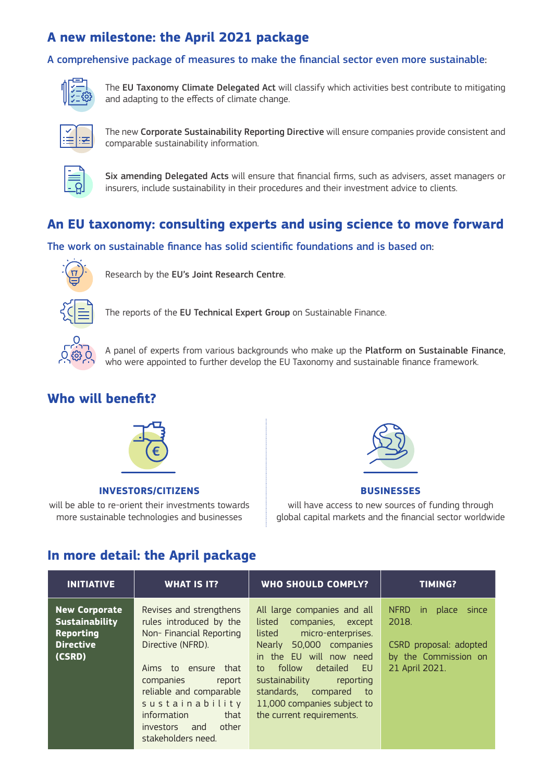# **A new milestone: the April 2021 package**

### A comprehensive package of measures to make the financial sector even more sustainable:



The EU Taxonomy Climate Delegated Act will classify which activities best contribute to mitigating and adapting to the effects of climate change.



The new Corporate Sustainability Reporting Directive will ensure companies provide consistent and comparable sustainability information.



Six amending Delegated Acts will ensure that financial firms, such as advisers, asset managers or insurers, include sustainability in their procedures and their investment advice to clients.

## **An EU taxonomy: consulting experts and using science to move forward**

### The work on sustainable finance has solid scientific foundations and is based on:



Research by the EU's Joint Research Centre.



The reports of the EU Technical Expert Group on Sustainable Finance.



A panel of experts from various backgrounds who make up the Platform on Sustainable Finance, who were appointed to further develop the EU Taxonomy and sustainable finance framework.

## **Who will benefit?**



#### **INVESTORS/CITIZENS**

will be able to re-orient their investments towards more sustainable technologies and businesses



#### **BUSINESSES**

will have access to new sources of funding through global capital markets and the financial sector worldwide

# **In more detail: the April package**

| <b>INITIATIVE</b>                                                                               | <b>WHAT IS IT?</b>                                                                                                                                                                                                                                                         | <b>WHO SHOULD COMPLY?</b>                                                                                                                                                                                                                                                                                 | <b>TIMING?</b>                                                                                                    |
|-------------------------------------------------------------------------------------------------|----------------------------------------------------------------------------------------------------------------------------------------------------------------------------------------------------------------------------------------------------------------------------|-----------------------------------------------------------------------------------------------------------------------------------------------------------------------------------------------------------------------------------------------------------------------------------------------------------|-------------------------------------------------------------------------------------------------------------------|
| <b>New Corporate</b><br><b>Sustainability</b><br><b>Reporting</b><br><b>Directive</b><br>(CSRD) | Revises and strengthens<br>rules introduced by the<br>Non-Financial Reporting<br>Directive (NFRD).<br>that<br>Aims to ensure<br>companies<br>report<br>reliable and comparable<br>sustainability<br>information<br>that<br>other<br>investors<br>and<br>stakeholders need. | All large companies and all<br>listed<br>companies, except<br>listed<br>micro-enterprises.<br>Nearly 50,000 companies<br>in the EU will now need<br>to follow<br>detailed<br>- EU<br>sustainability<br>reporting<br>standards, compared<br>to<br>11,000 companies subject to<br>the current requirements. | <b>NFRD</b><br>place<br>in.<br>since<br>2018.<br>CSRD proposal: adopted<br>by the Commission on<br>21 April 2021. |